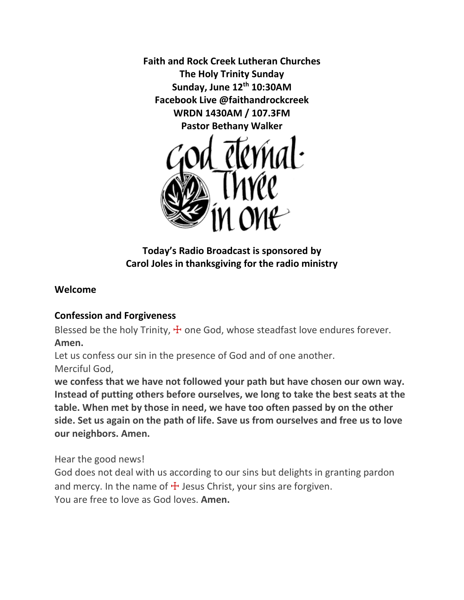**Faith and Rock Creek Lutheran Churches The Holy Trinity Sunday Sunday, June 12th 10:30AM Facebook Live @faithandrockcreek WRDN 1430AM / 107.3FM Pastor Bethany Walker**



## **Today's Radio Broadcast is sponsored by Carol Joles in thanksgiving for the radio ministry**

### **Welcome**

## **Confession and Forgiveness**

Blessed be the holy Trinity,  $\pm$  one God, whose steadfast love endures forever. **Amen.**

Let us confess our sin in the presence of God and of one another. Merciful God,

**we confess that we have not followed your path but have chosen our own way. Instead of putting others before ourselves, we long to take the best seats at the table. When met by those in need, we have too often passed by on the other side. Set us again on the path of life. Save us from ourselves and free us to love our neighbors. Amen.**

Hear the good news!

God does not deal with us according to our sins but delights in granting pardon and mercy. In the name of  $\pm$  Jesus Christ, your sins are forgiven. You are free to love as God loves. **Amen.**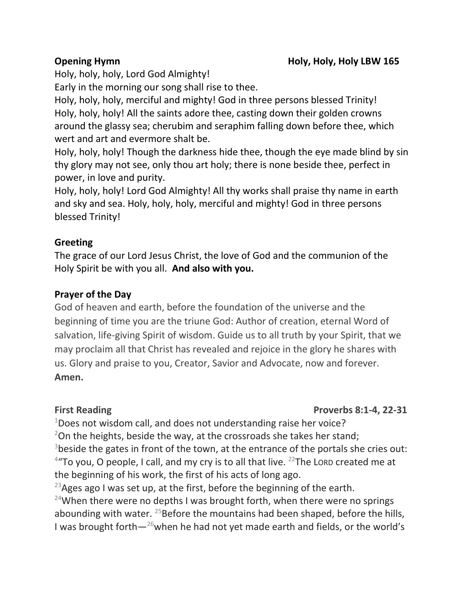Holy, holy, holy, Lord God Almighty!

Early in the morning our song shall rise to thee.

Holy, holy, holy, merciful and mighty! God in three persons blessed Trinity! Holy, holy, holy! All the saints adore thee, casting down their golden crowns around the glassy sea; cherubim and seraphim falling down before thee, which wert and art and evermore shalt be.

Holy, holy, holy! Though the darkness hide thee, though the eye made blind by sin thy glory may not see, only thou art holy; there is none beside thee, perfect in power, in love and purity.

Holy, holy, holy! Lord God Almighty! All thy works shall praise thy name in earth and sky and sea. Holy, holy, holy, merciful and mighty! God in three persons blessed Trinity!

## **Greeting**

The grace of our Lord Jesus Christ, the love of God and the communion of the Holy Spirit be with you all. **And also with you.** 

### **Prayer of the Day**

God of heaven and earth, before the foundation of the universe and the beginning of time you are the triune God: Author of creation, eternal Word of salvation, life-giving Spirit of wisdom. Guide us to all truth by your Spirit, that we may proclaim all that Christ has revealed and rejoice in the glory he shares with us. Glory and praise to you, Creator, Savior and Advocate, now and forever. **Amen.**

### **First Reading Proverbs 8:1-4, 22-31**

 $1$ Does not wisdom call, and does not understanding raise her voice?  $2$ On the heights, beside the way, at the crossroads she takes her stand; <sup>3</sup>beside the gates in front of the town, at the entrance of the portals she cries out:  $4$ "To you, O people, I call, and my cry is to all that live.  $22$ The Lord created me at the beginning of his work, the first of his acts of long ago.

<sup>23</sup> Ages ago I was set up, at the first, before the beginning of the earth. <sup>24</sup>When there were no depths I was brought forth, when there were no springs abounding with water.  $25$ Before the mountains had been shaped, before the hills, I was brought forth $-26$  when he had not yet made earth and fields, or the world's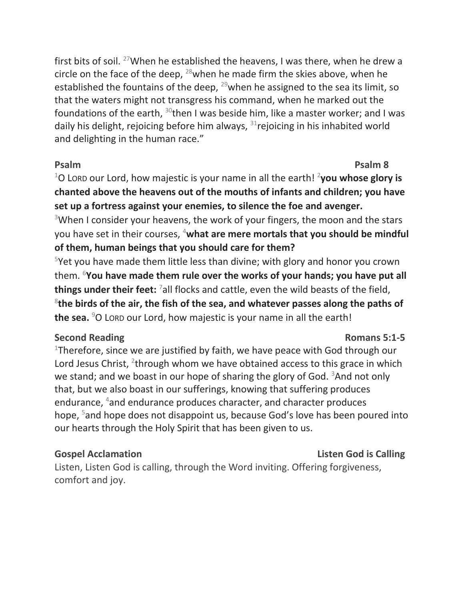first bits of soil. <sup>27</sup>When he established the heavens, I was there, when he drew a circle on the face of the deep,  $^{28}$  when he made firm the skies above, when he established the fountains of the deep,  $^{29}$  when he assigned to the sea its limit, so that the waters might not transgress his command, when he marked out the foundations of the earth,  $30$ then I was beside him, like a master worker; and I was daily his delight, rejoicing before him always,  $31$ rejoicing in his inhabited world and delighting in the human race."

<sup>1</sup>O Lorp our Lord, how majestic is your name in all the earth! <sup>2</sup>you whose glory is **chanted above the heavens out of the mouths of infants and children; you have set up a fortress against your enemies, to silence the foe and avenger.**

<sup>3</sup>When I consider your heavens, the work of your fingers, the moon and the stars you have set in their courses, <sup>4</sup>**what are mere mortals that you should be mindful of them, human beings that you should care for them?**

<sup>5</sup>Yet you have made them little less than divine; with glory and honor you crown them. <sup>6</sup>**You have made them rule over the works of your hands; you have put all things under their feet:** <sup>7</sup>all flocks and cattle, even the wild beasts of the field, 8 **the birds of the air, the fish of the sea, and whatever passes along the paths of the sea.** <sup>9</sup>O LORD our Lord, how majestic is your name in all the earth!

## **Second Reading Romans 5:1-5**

# <sup>1</sup>Therefore, since we are justified by faith, we have peace with God through our Lord Jesus Christ, <sup>2</sup>through whom we have obtained access to this grace in which we stand; and we boast in our hope of sharing the glory of God.  $3$ And not only that, but we also boast in our sufferings, knowing that suffering produces endurance, <sup>4</sup>and endurance produces character, and character produces hope, <sup>5</sup>and hope does not disappoint us, because God's love has been poured into our hearts through the Holy Spirit that has been given to us.

## **Gospel Acclamation Consumerse Consumerse Acclamation Listen God is Calling**

Listen, Listen God is calling, through the Word inviting. Offering forgiveness, comfort and joy.

**Psalm Psalm 8**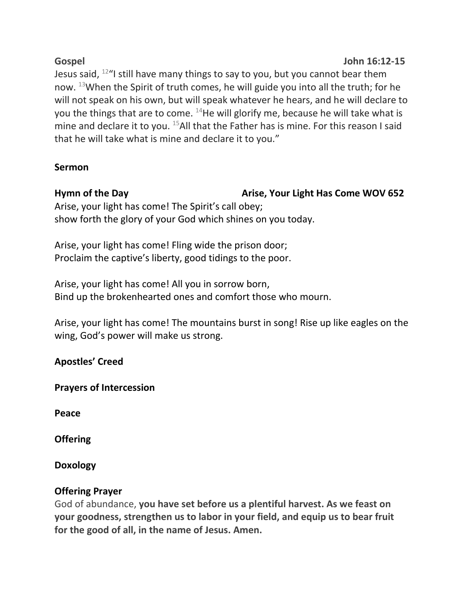## **Gospel John 16:12-15** Jesus said,  $12^{\omega}$ I still have many things to say to you, but you cannot bear them now.  $13$ When the Spirit of truth comes, he will guide you into all the truth; for he will not speak on his own, but will speak whatever he hears, and he will declare to you the things that are to come.  $14$ He will glorify me, because he will take what is mine and declare it to you.  $^{15}$ All that the Father has is mine. For this reason I said that he will take what is mine and declare it to you."

# **Sermon**

## Hymn of the Day **Arise, Your Light Has Come WOV 652**

Arise, your light has come! The Spirit's call obey; show forth the glory of your God which shines on you today.

Arise, your light has come! Fling wide the prison door; Proclaim the captive's liberty, good tidings to the poor.

Arise, your light has come! All you in sorrow born, Bind up the brokenhearted ones and comfort those who mourn.

Arise, your light has come! The mountains burst in song! Rise up like eagles on the wing, God's power will make us strong.

# **Apostles' Creed**

**Prayers of Intercession**

**Peace**

**Offering** 

**Doxology**

# **Offering Prayer**

God of abundance, **you have set before us a plentiful harvest. As we feast on your goodness, strengthen us to labor in your field, and equip us to bear fruit for the good of all, in the name of Jesus. Amen.**